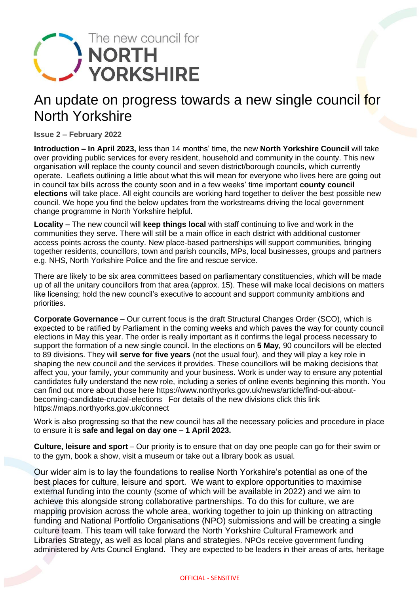

## An update on progress towards a new single council for North Yorkshire

**Issue 2 – February 2022**

**Introduction – In April 2023,** less than 14 months' time, the new **North Yorkshire Council** will take over providing public services for every resident, household and community in the county. This new organisation will replace the county council and seven district/borough councils, which currently operate. Leaflets outlining a little about what this will mean for everyone who lives here are going out in council tax bills across the county soon and in a few weeks' time important **county council elections** will take place. All eight councils are working hard together to deliver the best possible new council. We hope you find the below updates from the workstreams driving the local government change programme in North Yorkshire helpful.

**Locality –** The new council will **keep things local** with staff continuing to live and work in the communities they serve. There will still be a main office in each district with additional customer access points across the county. New place-based partnerships will support communities, bringing together residents, councillors, town and parish councils, MPs, local businesses, groups and partners e.g. NHS, North Yorkshire Police and the fire and rescue service.

There are likely to be six area committees based on parliamentary constituencies, which will be made up of all the unitary councillors from that area (approx. 15). These will make local decisions on matters like licensing; hold the new council's executive to account and support community ambitions and priorities.

**Corporate Governance** – Our current focus is the draft Structural Changes Order (SCO), which is expected to be ratified by Parliament in the coming weeks and which paves the way for county council elections in May this year. The order is really important as it confirms the legal process necessary to support the formation of a new single council. In the elections on **5 May**, 90 councillors will be elected to 89 divisions. They will **serve for five years** (not the usual four), and they will play a key role in shaping the new council and the services it provides. These councillors will be making decisions that affect you, your family, your community and your business. Work is under way to ensure any potential candidates fully understand the new role, including a series of online events beginning this month. You can find out more about those here [https://www.northyorks.gov.uk/news/article/find-out-about](https://www.northyorks.gov.uk/news/article/find-out-about-becoming-candidate-crucial-elections)[becoming-candidate-crucial-elections](https://www.northyorks.gov.uk/news/article/find-out-about-becoming-candidate-crucial-elections) For details of the new divisions click this link [https://maps.northyorks.gov.uk/connect](https://maps.northyorks.gov.uk/connect/)

Work is also progressing so that the new council has all the necessary policies and procedure in place to ensure it is **safe and legal on day one – 1 April 2023.**

**Culture, leisure and sport** – Our priority is to ensure that on day one people can go for their swim or to the gym, book a show, visit a museum or take out a library book as usual.

Our wider aim is to lay the foundations to realise North Yorkshire's potential as one of the best places for culture, leisure and sport. We want to explore opportunities to maximise external funding into the county (some of which will be available in 2022) and we aim to achieve this alongside strong collaborative partnerships. To do this for culture, we are mapping provision across the whole area, working together to join up thinking on attracting funding and National Portfolio Organisations (NPO) submissions and will be creating a single culture team. This team will take forward the North Yorkshire Cultural Framework and Libraries Strategy, as well as local plans and strategies. NPOs receive government funding administered by Arts Council England. They are expected to be leaders in their areas of arts, heritage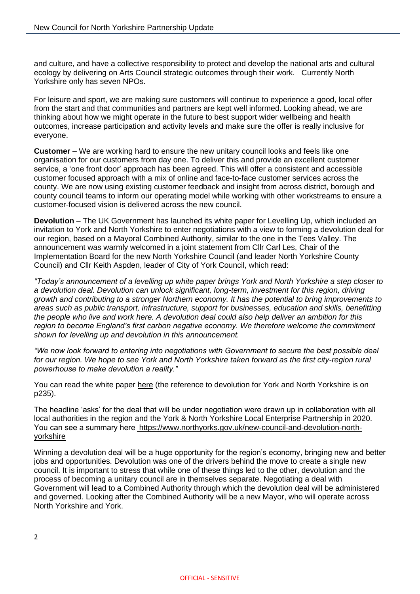and culture, and have a collective responsibility to protect and develop the national arts and cultural ecology by delivering on Arts Council strategic outcomes through their work. Currently North Yorkshire only has seven NPOs.

For leisure and sport, we are making sure customers will continue to experience a good, local offer from the start and that communities and partners are kept well informed. Looking ahead, we are thinking about how we might operate in the future to best support wider wellbeing and health outcomes, increase participation and activity levels and make sure the offer is really inclusive for everyone.

**Customer** – We are working hard to ensure the new unitary council looks and feels like one organisation for our customers from day one. To deliver this and provide an excellent customer service, a 'one front door' approach has been agreed. This will offer a consistent and accessible customer focused approach with a mix of online and face-to-face customer services across the county. We are now using existing customer feedback and insight from across district, borough and county council teams to inform our operating model while working with other workstreams to ensure a customer-focused vision is delivered across the new council.

**Devolution** – The UK Government has launched its white paper for Levelling Up, which included an invitation to York and North Yorkshire to enter negotiations with a view to forming a devolution deal for our region, based on a Mayoral Combined Authority, similar to the one in the Tees Valley. The announcement was warmly welcomed in a joint statement from Cllr Carl Les, Chair of the Implementation Board for the new North Yorkshire Council (and leader North Yorkshire County Council) and Cllr Keith Aspden, leader of City of York Council, which read:

*"Today's announcement of a levelling up white paper brings York and North Yorkshire a step closer to a devolution deal. Devolution can unlock significant, long-term, investment for this region, driving growth and contributing to a stronger Northern economy. It has the potential to bring improvements to areas such as public transport, infrastructure, support for businesses, education and skills, benefitting the people who live and work here. A devolution deal could also help deliver an ambition for this region to become England's first carbon negative economy. We therefore welcome the commitment shown for levelling up and devolution in this announcement.*

*"We now look forward to entering into negotiations with Government to secure the best possible deal for our region. We hope to see York and North Yorkshire taken forward as the first city-region rural powerhouse to make devolution a reality."*

You can read the white paper [here](https://assets.publishing.service.gov.uk/government/uploads/system/uploads/attachment_data/file/1052708/Levelling_up_the_UK_white_paper.pdf) (the reference to devolution for York and North Yorkshire is on p235).

The headline 'asks' for the deal that will be under negotiation were drawn up in collaboration with all local authorities in the region and the York & North Yorkshire Local Enterprise Partnership in 2020. You can see a summary here  [https://www.northyorks.gov.uk/new-council-and-devolution-north](https://www.northyorks.gov.uk/new-council-and-devolution-north-yorkshire)[yorkshire](https://www.northyorks.gov.uk/new-council-and-devolution-north-yorkshire)

Winning a devolution deal will be a huge opportunity for the region's economy, bringing new and better jobs and opportunities. Devolution was one of the drivers behind the move to create a single new council. It is important to stress that while one of these things led to the other, devolution and the process of becoming a unitary council are in themselves separate. Negotiating a deal with Government will lead to a Combined Authority through which the devolution deal will be administered and governed. Looking after the Combined Authority will be a new Mayor, who will operate across North Yorkshire and York.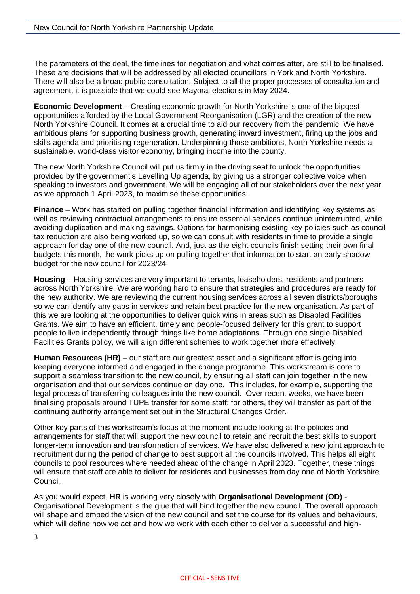The parameters of the deal, the timelines for negotiation and what comes after, are still to be finalised. These are decisions that will be addressed by all elected councillors in York and North Yorkshire. There will also be a broad public consultation. Subject to all the proper processes of consultation and agreement, it is possible that we could see Mayoral elections in May 2024.

**Economic Development** – Creating economic growth for North Yorkshire is one of the biggest opportunities afforded by the Local Government Reorganisation (LGR) and the creation of the new North Yorkshire Council. It comes at a crucial time to aid our recovery from the pandemic. We have ambitious plans for supporting business growth, generating inward investment, firing up the jobs and skills agenda and prioritising regeneration. Underpinning those ambitions, North Yorkshire needs a sustainable, world-class visitor economy, bringing income into the county.

The new North Yorkshire Council will put us firmly in the driving seat to unlock the opportunities provided by the government's Levelling Up agenda, by giving us a stronger collective voice when speaking to investors and government. We will be engaging all of our stakeholders over the next year as we approach 1 April 2023, to maximise these opportunities.

**Finance** – Work has started on pulling together financial information and identifying key systems as well as reviewing contractual arrangements to ensure essential services continue uninterrupted, while avoiding duplication and making savings. Options for harmonising existing key policies such as council tax reduction are also being worked up, so we can consult with residents in time to provide a single approach for day one of the new council. And, just as the eight councils finish setting their own final budgets this month, the work picks up on pulling together that information to start an early shadow budget for the new council for 2023/24.

**Housing** – Housing services are very important to tenants, leaseholders, residents and partners across North Yorkshire. We are working hard to ensure that strategies and procedures are ready for the new authority. We are reviewing the current housing services across all seven districts/boroughs so we can identify any gaps in services and retain best practice for the new organisation. As part of this we are looking at the opportunities to deliver quick wins in areas such as Disabled Facilities Grants. We aim to have an efficient, timely and people-focused delivery for this grant to support people to live independently through things like home adaptations. Through one single Disabled Facilities Grants policy, we will align different schemes to work together more effectively.

**Human Resources (HR)** – our staff are our greatest asset and a significant effort is going into keeping everyone informed and engaged in the change programme. This workstream is core to support a seamless transition to the new council, by ensuring all staff can join together in the new organisation and that our services continue on day one. This includes, for example, supporting the legal process of transferring colleagues into the new council. Over recent weeks, we have been finalising proposals around TUPE transfer for some staff; for others, they will transfer as part of the continuing authority arrangement set out in the Structural Changes Order.

Other key parts of this workstream's focus at the moment include looking at the policies and arrangements for staff that will support the new council to retain and recruit the best skills to support longer-term innovation and transformation of services. We have also delivered a new joint approach to recruitment during the period of change to best support all the councils involved. This helps all eight councils to pool resources where needed ahead of the change in April 2023. Together, these things will ensure that staff are able to deliver for residents and businesses from day one of North Yorkshire Council.

As you would expect, **HR** is working very closely with **Organisational Development (OD)** - Organisational Development is the glue that will bind together the new council. The overall approach will shape and embed the vision of the new council and set the course for its values and behaviours, which will define how we act and how we work with each other to deliver a successful and high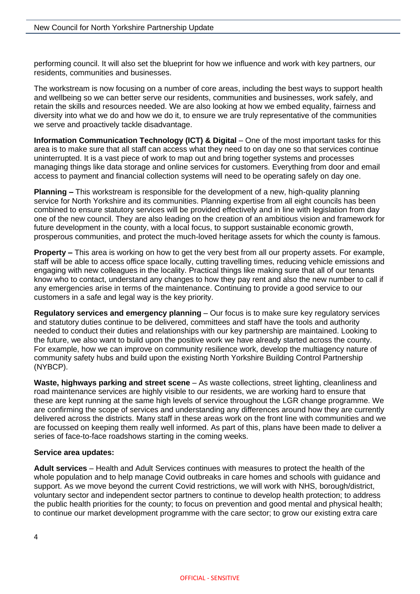performing council. It will also set the blueprint for how we influence and work with key partners, our residents, communities and businesses.

The workstream is now focusing on a number of core areas, including the best ways to support health and wellbeing so we can better serve our residents, communities and businesses, work safely, and retain the skills and resources needed. We are also looking at how we embed equality, fairness and diversity into what we do and how we do it, to ensure we are truly representative of the communities we serve and proactively tackle disadvantage.

**Information Communication Technology (ICT) & Digital** – One of the most important tasks for this area is to make sure that all staff can access what they need to on day one so that services continue uninterrupted. It is a vast piece of work to map out and bring together systems and processes managing things like data storage and online services for customers. Everything from door and email access to payment and financial collection systems will need to be operating safely on day one.

**Planning –** This workstream is responsible for the development of a new, high-quality planning service for North Yorkshire and its communities. Planning expertise from all eight councils has been combined to ensure statutory services will be provided effectively and in line with legislation from day one of the new council. They are also leading on the creation of an ambitious vision and framework for future development in the county, with a local focus, to support sustainable economic growth, prosperous communities, and protect the much-loved heritage assets for which the county is famous.

**Property –** This area is working on how to get the very best from all our property assets. For example, staff will be able to access office space locally, cutting travelling times, reducing vehicle emissions and engaging with new colleagues in the locality. Practical things like making sure that all of our tenants know who to contact, understand any changes to how they pay rent and also the new number to call if any emergencies arise in terms of the maintenance. Continuing to provide a good service to our customers in a safe and legal way is the key priority.

**Regulatory services and emergency planning** – Our focus is to make sure key regulatory services and statutory duties continue to be delivered, committees and staff have the tools and authority needed to conduct their duties and relationships with our key partnership are maintained. Looking to the future, we also want to build upon the positive work we have already started across the county. For example, how we can improve on community resilience work, develop the multiagency nature of community safety hubs and build upon the existing North Yorkshire Building Control Partnership (NYBCP).

**Waste, highways parking and street scene** – As waste collections, street lighting, cleanliness and road maintenance services are highly visible to our residents, we are working hard to ensure that these are kept running at the same high levels of service throughout the LGR change programme. We are confirming the scope of services and understanding any differences around how they are currently delivered across the districts. Many staff in these areas work on the front line with communities and we are focussed on keeping them really well informed. As part of this, plans have been made to deliver a series of face-to-face roadshows starting in the coming weeks.

## **Service area updates:**

**Adult services** – Health and Adult Services continues with measures to protect the health of the whole population and to help manage Covid outbreaks in care homes and schools with guidance and support. As we move beyond the current Covid restrictions, we will work with NHS, borough/district, voluntary sector and independent sector partners to continue to develop health protection; to address the public health priorities for the county; to focus on prevention and good mental and physical health; to continue our market development programme with the care sector; to grow our existing extra care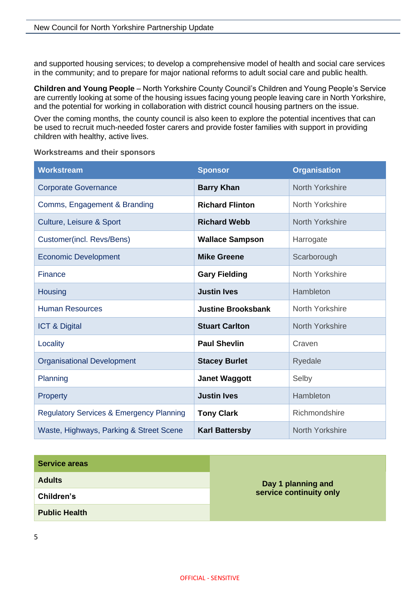and supported housing services; to develop a comprehensive model of health and social care services in the community; and to prepare for major national reforms to adult social care and public health.

**Children and Young People** – North Yorkshire County Council's Children and Young People's Service are currently looking at some of the housing issues facing young people leaving care in North Yorkshire, and the potential for working in collaboration with district council housing partners on the issue.

Over the coming months, the county council is also keen to explore the potential incentives that can be used to recruit much-needed foster carers and provide foster families with support in providing children with healthy, active lives.

## **Workstreams and their sponsors**

| <b>Workstream</b>                                   | <b>Sponsor</b>            | <b>Organisation</b> |
|-----------------------------------------------------|---------------------------|---------------------|
| <b>Corporate Governance</b>                         | <b>Barry Khan</b>         | North Yorkshire     |
| Comms, Engagement & Branding                        | <b>Richard Flinton</b>    | North Yorkshire     |
| <b>Culture, Leisure &amp; Sport</b>                 | <b>Richard Webb</b>       | North Yorkshire     |
| Customer(incl. Revs/Bens)                           | <b>Wallace Sampson</b>    | Harrogate           |
| <b>Economic Development</b>                         | <b>Mike Greene</b>        | Scarborough         |
| <b>Finance</b>                                      | <b>Gary Fielding</b>      | North Yorkshire     |
| <b>Housing</b>                                      | <b>Justin Ives</b>        | Hambleton           |
| <b>Human Resources</b>                              | <b>Justine Brooksbank</b> | North Yorkshire     |
| <b>ICT &amp; Digital</b>                            | <b>Stuart Carlton</b>     | North Yorkshire     |
| Locality                                            | <b>Paul Shevlin</b>       | Craven              |
| <b>Organisational Development</b>                   | <b>Stacey Burlet</b>      | Ryedale             |
| Planning                                            | <b>Janet Waggott</b>      | Selby               |
| Property                                            | <b>Justin Ives</b>        | Hambleton           |
| <b>Regulatory Services &amp; Emergency Planning</b> | <b>Tony Clark</b>         | Richmondshire       |
| Waste, Highways, Parking & Street Scene             | <b>Karl Battersby</b>     | North Yorkshire     |

| <b>Service areas</b> | Day 1 planning and<br>service continuity only |
|----------------------|-----------------------------------------------|
| <b>Adults</b>        |                                               |
| Children's           |                                               |
| <b>Public Health</b> |                                               |